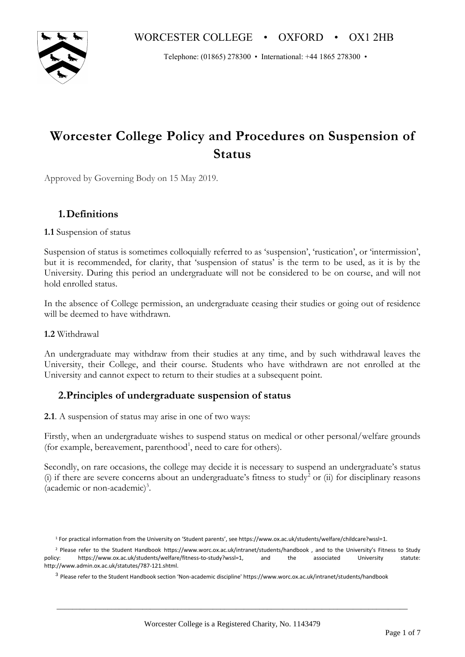Telephone: (01865) 278300 • International: +44 1865 278300 •

# **Worcester College Policy and Procedures on Suspension of Status**

Approved by Governing Body on 15 May 2019.

# **1.Definitions**

## **1.1** Suspension of status

Suspension of status is sometimes colloquially referred to as 'suspension', 'rustication', or 'intermission', but it is recommended, for clarity, that 'suspension of status' is the term to be used, as it is by the University. During this period an undergraduate will not be considered to be on course, and will not hold enrolled status.

In the absence of College permission, an undergraduate ceasing their studies or going out of residence will be deemed to have withdrawn.

## **1.2** Withdrawal

An undergraduate may withdraw from their studies at any time, and by such withdrawal leaves the University, their College, and their course. Students who have withdrawn are not enrolled at the University and cannot expect to return to their studies at a subsequent point.

# **2.Principles of undergraduate suspension of status**

**2.1**. A suspension of status may arise in one of two ways:

Firstly, when an undergraduate wishes to suspend status on medical or other personal/welfare grounds (for example, bereavement, parenthood<sup>1</sup>, need to care for others).

Secondly, on rare occasions, the college may decide it is necessary to suspend an undergraduate's status (i) if there are severe concerns about an undergraduate's fitness to study<sup>2</sup> or (ii) for disciplinary reasons (academic or non-academic)<sup>3</sup> .

<sup>1</sup> For practical information from the University on 'Student parents', see https://www.ox.ac.uk/students/welfare/childcare?wssl=1.

<sup>&</sup>lt;sup>2</sup> Please refer to the Student Handbook https://www.worc.ox.ac.uk/intranet/students/handbook, and to the University's Fitness to Study policy: https://www.ox.ac.uk/students/welfare/fitness-to-study?wssl=1, and the associated University statute: http://www.admin.ox.ac.uk/statutes/787-121.shtml.

<sup>&</sup>lt;sup>3</sup> Please refer to the Student Handbook section 'Non-academic discipline' https://www.worc.ox.ac.uk/intranet/students/handbook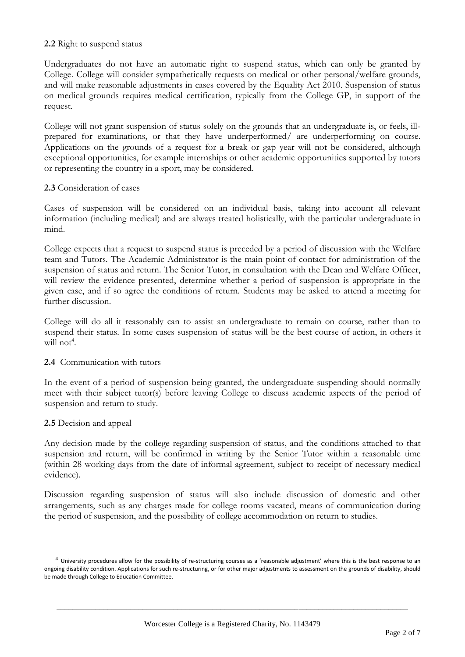# **2.2** Right to suspend status

Undergraduates do not have an automatic right to suspend status, which can only be granted by College. College will consider sympathetically requests on medical or other personal/welfare grounds, and will make reasonable adjustments in cases covered by the Equality Act 2010. Suspension of status on medical grounds requires medical certification, typically from the College GP, in support of the request.

College will not grant suspension of status solely on the grounds that an undergraduate is, or feels, illprepared for examinations, or that they have underperformed/ are underperforming on course. Applications on the grounds of a request for a break or gap year will not be considered, although exceptional opportunities, for example internships or other academic opportunities supported by tutors or representing the country in a sport, may be considered.

## **2.3** Consideration of cases

Cases of suspension will be considered on an individual basis, taking into account all relevant information (including medical) and are always treated holistically, with the particular undergraduate in mind.

College expects that a request to suspend status is preceded by a period of discussion with the Welfare team and Tutors. The Academic Administrator is the main point of contact for administration of the suspension of status and return. The Senior Tutor, in consultation with the Dean and Welfare Officer, will review the evidence presented, determine whether a period of suspension is appropriate in the given case, and if so agree the conditions of return. Students may be asked to attend a meeting for further discussion.

College will do all it reasonably can to assist an undergraduate to remain on course, rather than to suspend their status. In some cases suspension of status will be the best course of action, in others it will not<sup>4</sup>.

## **2.4** Communication with tutors

In the event of a period of suspension being granted, the undergraduate suspending should normally meet with their subject tutor(s) before leaving College to discuss academic aspects of the period of suspension and return to study.

## **2.5** Decision and appeal

Any decision made by the college regarding suspension of status, and the conditions attached to that suspension and return, will be confirmed in writing by the Senior Tutor within a reasonable time (within 28 working days from the date of informal agreement, subject to receipt of necessary medical evidence).

Discussion regarding suspension of status will also include discussion of domestic and other arrangements, such as any charges made for college rooms vacated, means of communication during the period of suspension, and the possibility of college accommodation on return to studies.

 $4$  University procedures allow for the possibility of re-structuring courses as a 'reasonable adjustment' where this is the best response to an ongoing disability condition. Applications for such re-structuring, or for other major adjustments to assessment on the grounds of disability, should be made through College to Education Committee.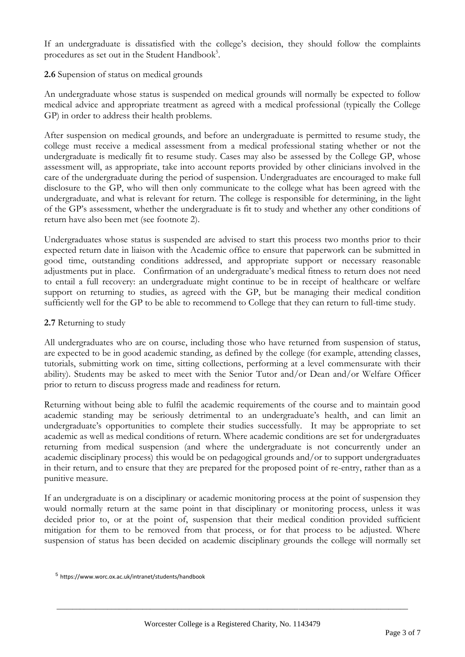If an undergraduate is dissatisfied with the college's decision, they should follow the complaints procedures as set out in the Student Handbook<sup>5</sup>.

# **2.6** Supension of status on medical grounds

An undergraduate whose status is suspended on medical grounds will normally be expected to follow medical advice and appropriate treatment as agreed with a medical professional (typically the College GP) in order to address their health problems.

After suspension on medical grounds, and before an undergraduate is permitted to resume study, the college must receive a medical assessment from a medical professional stating whether or not the undergraduate is medically fit to resume study. Cases may also be assessed by the College GP, whose assessment will, as appropriate, take into account reports provided by other clinicians involved in the care of the undergraduate during the period of suspension. Undergraduates are encouraged to make full disclosure to the GP, who will then only communicate to the college what has been agreed with the undergraduate, and what is relevant for return. The college is responsible for determining, in the light of the GP's assessment, whether the undergraduate is fit to study and whether any other conditions of return have also been met (see footnote 2).

Undergraduates whose status is suspended are advised to start this process two months prior to their expected return date in liaison with the Academic office to ensure that paperwork can be submitted in good time, outstanding conditions addressed, and appropriate support or necessary reasonable adjustments put in place. Confirmation of an undergraduate's medical fitness to return does not need to entail a full recovery: an undergraduate might continue to be in receipt of healthcare or welfare support on returning to studies, as agreed with the GP, but be managing their medical condition sufficiently well for the GP to be able to recommend to College that they can return to full-time study.

# **2.7** Returning to study

All undergraduates who are on course, including those who have returned from suspension of status, are expected to be in good academic standing, as defined by the college (for example, attending classes, tutorials, submitting work on time, sitting collections, performing at a level commensurate with their ability). Students may be asked to meet with the Senior Tutor and/or Dean and/or Welfare Officer prior to return to discuss progress made and readiness for return.

Returning without being able to fulfil the academic requirements of the course and to maintain good academic standing may be seriously detrimental to an undergraduate's health, and can limit an undergraduate's opportunities to complete their studies successfully. It may be appropriate to set academic as well as medical conditions of return. Where academic conditions are set for undergraduates returning from medical suspension (and where the undergraduate is not concurrently under an academic disciplinary process) this would be on pedagogical grounds and/or to support undergraduates in their return, and to ensure that they are prepared for the proposed point of re-entry, rather than as a punitive measure.

If an undergraduate is on a disciplinary or academic monitoring process at the point of suspension they would normally return at the same point in that disciplinary or monitoring process, unless it was decided prior to, or at the point of, suspension that their medical condition provided sufficient mitigation for them to be removed from that process, or for that process to be adjusted. Where suspension of status has been decided on academic disciplinary grounds the college will normally set

<sup>5</sup> https://www.worc.ox.ac.uk/intranet/students/handbook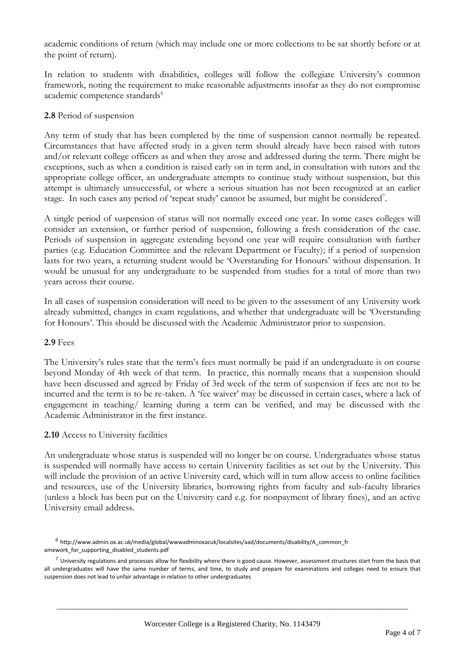academic conditions of return (which may include one or more collections to be sat shortly before or at the point of return).

In relation to students with disabilities, colleges will follow the collegiate University's common framework, noting the requirement to make reasonable adjustments insofar as they do not compromise academic competence standards<sup>6</sup>

# **2.8** Period of suspension

Any term of study that has been completed by the time of suspension cannot normally be repeated. Circumstances that have affected study in a given term should already have been raised with tutors and/or relevant college officers as and when they arose and addressed during the term. There might be exceptions, such as when a condition is raised early on in term and, in consultation with tutors and the appropriate college officer, an undergraduate attempts to continue study without suspension, but this attempt is ultimately unsuccessful, or where a serious situation has not been recognized at an earlier stage. In such cases any period of 'repeat study' cannot be assumed, but might be considered<sup>7</sup>.

A single period of suspension of status will not normally exceed one year. In some cases colleges will consider an extension, or further period of suspension, following a fresh consideration of the case. Periods of suspension in aggregate extending beyond one year will require consultation with further parties (e.g. Education Committee and the relevant Department or Faculty); if a period of suspension lasts for two years, a returning student would be 'Overstanding for Honours' without dispensation. It would be unusual for any undergraduate to be suspended from studies for a total of more than two years across their course.

In all cases of suspension consideration will need to be given to the assessment of any University work already submitted, changes in exam regulations, and whether that undergraduate will be 'Overstanding for Honours'. This should be discussed with the Academic Administrator prior to suspension.

## **2.9** Fees

The University's rules state that the term's fees must normally be paid if an undergraduate is on course beyond Monday of 4th week of that term. In practice, this normally means that a suspension should have been discussed and agreed by Friday of 3rd week of the term of suspension if fees are not to be incurred and the term is to be re-taken. A 'fee waiver' may be discussed in certain cases, where a lack of engagement in teaching/ learning during a term can be verified, and may be discussed with the Academic Administrator in the first instance.

## **2.10** Access to University facilities

An undergraduate whose status is suspended will no longer be on course. Undergraduates whose status is suspended will normally have access to certain University facilities as set out by the University. This will include the provision of an active University card, which will in turn allow access to online facilities and resources, use of the University libraries, borrowing rights from faculty and sub-faculty libraries (unless a block has been put on the University card e.g. for nonpayment of library fines), and an active University email address.

<sup>6</sup> http://www.admin.ox.ac.uk/media/global/wwwadminoxacuk/localsites/aad/documents/disability/A\_common\_fr amework\_for\_supporting\_disabled\_students.pdf

 $^7$  University regulations and processes allow for flexibility where there is good cause. However, assessment structures start from the basis that all undergraduates will have the same number of terms, and time, to study and prepare for examinations and colleges need to ensure that suspension does not lead to unfair advantage in relation to other undergraduates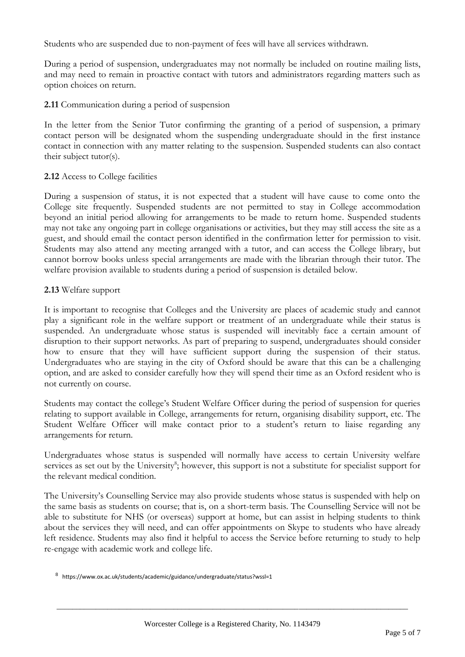Students who are suspended due to non-payment of fees will have all services withdrawn.

During a period of suspension, undergraduates may not normally be included on routine mailing lists, and may need to remain in proactive contact with tutors and administrators regarding matters such as option choices on return.

# **2.11** Communication during a period of suspension

In the letter from the Senior Tutor confirming the granting of a period of suspension, a primary contact person will be designated whom the suspending undergraduate should in the first instance contact in connection with any matter relating to the suspension. Suspended students can also contact their subject tutor(s).

# **2.12** Access to College facilities

During a suspension of status, it is not expected that a student will have cause to come onto the College site frequently. Suspended students are not permitted to stay in College accommodation beyond an initial period allowing for arrangements to be made to return home. Suspended students may not take any ongoing part in college organisations or activities, but they may still access the site as a guest, and should email the contact person identified in the confirmation letter for permission to visit. Students may also attend any meeting arranged with a tutor, and can access the College library, but cannot borrow books unless special arrangements are made with the librarian through their tutor. The welfare provision available to students during a period of suspension is detailed below.

# **2.13** Welfare support

It is important to recognise that Colleges and the University are places of academic study and cannot play a significant role in the welfare support or treatment of an undergraduate while their status is suspended. An undergraduate whose status is suspended will inevitably face a certain amount of disruption to their support networks. As part of preparing to suspend, undergraduates should consider how to ensure that they will have sufficient support during the suspension of their status. Undergraduates who are staying in the city of Oxford should be aware that this can be a challenging option, and are asked to consider carefully how they will spend their time as an Oxford resident who is not currently on course.

Students may contact the college's Student Welfare Officer during the period of suspension for queries relating to support available in College, arrangements for return, organising disability support, etc. The Student Welfare Officer will make contact prior to a student's return to liaise regarding any arrangements for return.

Undergraduates whose status is suspended will normally have access to certain University welfare services as set out by the University<sup>8</sup>; however, this support is not a substitute for specialist support for the relevant medical condition.

The University's Counselling Service may also provide students whose status is suspended with help on the same basis as students on course; that is, on a short-term basis. The Counselling Service will not be able to substitute for NHS (or overseas) support at home, but can assist in helping students to think about the services they will need, and can offer appointments on Skype to students who have already left residence. Students may also find it helpful to access the Service before returning to study to help re-engage with academic work and college life.

<sup>&</sup>lt;sup>8</sup> https://www.ox.ac.uk/students/academic/guidance/undergraduate/status?wssl=1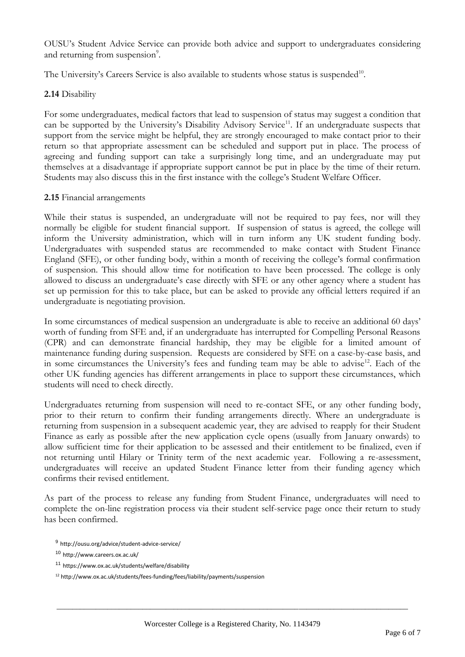OUSU's Student Advice Service can provide both advice and support to undergraduates considering and returning from suspension<sup>9</sup>.

The University's Careers Service is also available to students whose status is suspended<sup>10</sup>.

# **2.14** Disability

For some undergraduates, medical factors that lead to suspension of status may suggest a condition that can be supported by the University's Disability Advisory Service<sup>11</sup>. If an undergraduate suspects that support from the service might be helpful, they are strongly encouraged to make contact prior to their return so that appropriate assessment can be scheduled and support put in place. The process of agreeing and funding support can take a surprisingly long time, and an undergraduate may put themselves at a disadvantage if appropriate support cannot be put in place by the time of their return. Students may also discuss this in the first instance with the college's Student Welfare Officer.

## **2.15** Financial arrangements

While their status is suspended, an undergraduate will not be required to pay fees, nor will they normally be eligible for student financial support. If suspension of status is agreed, the college will inform the University administration, which will in turn inform any UK student funding body. Undergraduates with suspended status are recommended to make contact with Student Finance England (SFE), or other funding body, within a month of receiving the college's formal confirmation of suspension. This should allow time for notification to have been processed. The college is only allowed to discuss an undergraduate's case directly with SFE or any other agency where a student has set up permission for this to take place, but can be asked to provide any official letters required if an undergraduate is negotiating provision.

In some circumstances of medical suspension an undergraduate is able to receive an additional 60 days' worth of funding from SFE and, if an undergraduate has interrupted for Compelling Personal Reasons (CPR) and can demonstrate financial hardship, they may be eligible for a limited amount of maintenance funding during suspension. Requests are considered by SFE on a case-by-case basis, and in some circumstances the University's fees and funding team may be able to advise<sup>12</sup>. Each of the other UK funding agencies has different arrangements in place to support these circumstances, which students will need to check directly.

Undergraduates returning from suspension will need to re-contact SFE, or any other funding body, prior to their return to confirm their funding arrangements directly. Where an undergraduate is returning from suspension in a subsequent academic year, they are advised to reapply for their Student Finance as early as possible after the new application cycle opens (usually from January onwards) to allow sufficient time for their application to be assessed and their entitlement to be finalized, even if not returning until Hilary or Trinity term of the next academic year. Following a re-assessment, undergraduates will receive an updated Student Finance letter from their funding agency which confirms their revised entitlement.

As part of the process to release any funding from Student Finance, undergraduates will need to complete the on-line registration process via their student self-service page once their return to study has been confirmed.

<sup>9</sup> http://ousu.org/advice/student-advice-service/

<sup>10</sup> http://www.careers.ox.ac.uk/

<sup>11</sup> https://www.ox.ac.uk/students/welfare/disability

<sup>12</sup> http://www.ox.ac.uk/students/fees-funding/fees/liability/payments/suspension